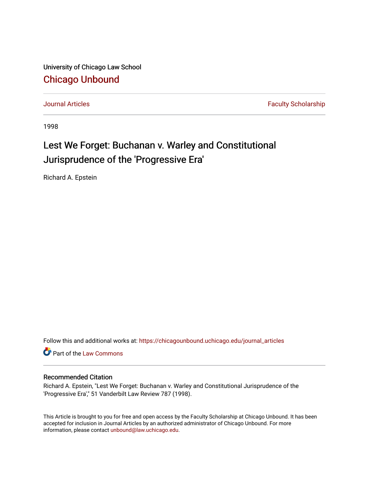University of Chicago Law School [Chicago Unbound](https://chicagounbound.uchicago.edu/)

[Journal Articles](https://chicagounbound.uchicago.edu/journal_articles) **Faculty Scholarship Journal Articles** 

1998

### Lest We Forget: Buchanan v. Warley and Constitutional Jurisprudence of the 'Progressive Era'

Richard A. Epstein

Follow this and additional works at: [https://chicagounbound.uchicago.edu/journal\\_articles](https://chicagounbound.uchicago.edu/journal_articles?utm_source=chicagounbound.uchicago.edu%2Fjournal_articles%2F1358&utm_medium=PDF&utm_campaign=PDFCoverPages) 

Part of the [Law Commons](http://network.bepress.com/hgg/discipline/578?utm_source=chicagounbound.uchicago.edu%2Fjournal_articles%2F1358&utm_medium=PDF&utm_campaign=PDFCoverPages)

### Recommended Citation

Richard A. Epstein, "Lest We Forget: Buchanan v. Warley and Constitutional Jurisprudence of the 'Progressive Era'," 51 Vanderbilt Law Review 787 (1998).

This Article is brought to you for free and open access by the Faculty Scholarship at Chicago Unbound. It has been accepted for inclusion in Journal Articles by an authorized administrator of Chicago Unbound. For more information, please contact [unbound@law.uchicago.edu](mailto:unbound@law.uchicago.edu).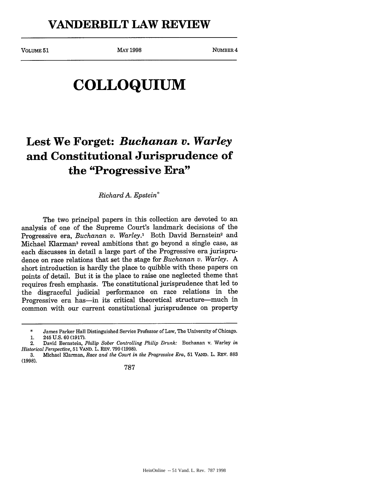```
VOLUME 51 MAY 1998 MAY 1998 NUMBER 4
```
# **COLLOQUIUM**

## **Lest We Forget:** *Buchanan v. Warley* **and Constitutional Jurisprudence of the "Progressive Era"**

*Richard A. Epstein\**

The two principal papers in this collection are devoted to an analysis of one of the Supreme Court's landmark decisions of the Progressive era, *Buchanan v. Warley.*<sup>1</sup> Both David Bernstein<sup>2</sup> and Michael Klarman3 reveal ambitions that go beyond a single case, as each discusses in detail a large part of the Progressive era jurisprudence on race relations that set the stage for *Buchanan v. Warley. A* short introduction is hardly the place to quibble with these papers on points of detail. But it is the place to raise one neglected theme that requires fresh emphasis. The constitutional jurisprudence that led to the disgraceful judicial performance on race relations in the Progressive era has-in its critical theoretical structure-much in common with our current constitutional jurisprudence on property

<sup>\*</sup> James Parker Hall Distinguished Service Professor of Law, The University of Chicago.

<sup>1. 245</sup> U.S. 60 (1917).

<sup>2.</sup> David Bernstein, *Philip Sober Controlling Philip Drunk:* Buchanan v. Warley *in Historical Perspective,* 51 VAND. L. REV. 799 (1998).

<sup>3.</sup> Michael Klarman, *Race and the Court in the Progressive Era,* 51 VAND. L. REv. 883 (1998).

<sup>787</sup>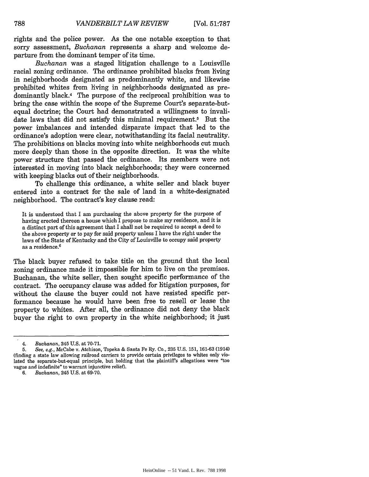rights and the police power. As the one notable exception to that sorry assessment, *Buchanan* represents a sharp and welcome departure from the dominant temper of its time.

*Buchanan* was a staged litigation challenge to a Louisville racial zoning ordinance. The ordinance prohibited blacks from living in neighborhoods designated as predominantly white, and likewise prohibited whites from living in neighborhoods designated as predominantly black.<sup>4</sup> The purpose of the reciprocal prohibition was to bring the case within the scope of the Supreme Court's separate-butequal doctrine; the Court had demonstrated a willingness to invalidate laws that did not satisfy this minimal requirement.5 But the power imbalances and intended disparate impact that led to the ordinance's adoption were clear, notwithstanding its facial neutrality. The prohibitions on blacks moving into white neighborhoods cut much more deeply than those in the opposite direction. It was the white power structure that passed the ordinance. Its members were not interested in moving into black neighborhoods; they were concerned with keeping blacks out of their neighborhoods.

To challenge this ordinance, a white seller and black buyer entered into a contract for the sale of land in a white-designated neighborhood. The contract's key clause read:

It is understood that I am purchasing the above property for the purpose of having erected thereon a house which I propose to make my residence, and it is a distinct part of this agreement that I shall not be required to accept a deed to the above property or to pay for said property unless I have the right under the laws of the State of Kentucky and the City of Louisville to occupy said property as a residence. <sup>6</sup>

The black buyer refused to take title on the ground that the local zoning ordinance made it impossible for him to live on the premises. Buchanan, the white seller, then sought specific performance of the contract. The occupancy clause was added for hitigation purposes, for without the clause the buyer could not have resisted specific performance because he would have been free to resell or lease the property to whites. After all, the ordinance did not deny the black buyer the right to own property in the white neighborhood; it just

*<sup>4.</sup> Buchanan,* 245 U.S. at 70-71.

<sup>5.</sup> *See, e.g.,* McCabe v. Atchison, Topeka & Santa Fe Ry. Co., 235 U.S. 151, 161-63 (1914) (finding a state law allowing railroad carriers to provide certain privileges to whites only violated the separate-but-equal principle, but holding that the plaintiff's allegations were "too vague and indefinite" to warrant injunctive relief).

<sup>6.</sup> *Buchanan,* 245 U.S. at 69-70.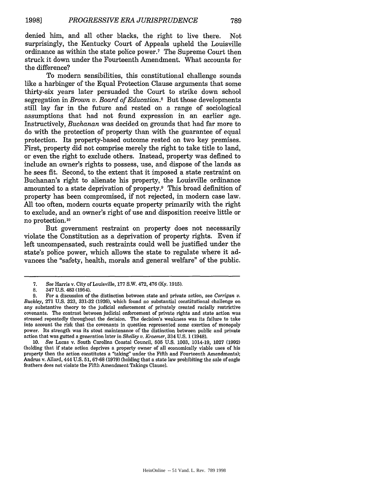denied him, and all other blacks, the right to live there. Not surprisingly, the Kentucky Court of Appeals upheld the Louisville ordinance as within the state police power.7 The Supreme Court then struck it down under the Fourteenth Amendment. What accounts for the difference?

To modern sensibilities, this constitutional challenge sounds like a harbinger of the Equal Protection Clause arguments that some thirty-six years later persuaded the Court to strike down school segregation in *Brown v. Board of Education.8* But those developments still lay far in the future and rested on a range of sociological assumptions that had not found expression in an earlier age. Instructively, *Buchanan* was decided on grounds that had far more to do with the protection of property than with the guarantee of equal protection. Its property-based outcome rested on two key premises. First, property did not comprise merely the right to take title to land, or even the right to exclude others. Instead, property was defined to include an owner's rights to possess, use, and dispose of the lands as he sees fit. Second, to the extent that it imposed a state restraint on Buchanan's right to alienate his property, the Louisville ordinance amounted to a state deprivation of property.<sup>9</sup> This broad definition of property has been compromised, if not rejected, in modern case law. All too often, modern courts equate property primarily with the right to exclude, and an owner's right of use and disposition receive little or no protection.<sup>10</sup>

But government restraint on property does not necessarily violate the Constitution as a deprivation of property rights. Even if left uncompensated, such restraints could well be justified under the state's police power, which allows the state to regulate where it advances the "safety, health, morals and general welfare" of the public.

*<sup>7.</sup> See* Harris v. City of Louisville, 177 S.W. 472, 476 (Ky. 1915).

<sup>8. 347</sup> U.S. 483 (1954).

<sup>9.</sup> For a discussion of the distinction between state and private action, see *Corrigan v. Buckley,* **271** U.S. 323, 331-32 (1926), which found no substantial constitutional challenge on any substantive theory to the judicial enforcement of privately created racially restrictive covenants. The contrast between judicial enforcement of private rights and state action was stressed repeatedly throughout the decision. The decision's weakness was its failure to take into account the risk that the covenants in question represented some exertion of monopoly power. Its strength was its stout maintenance of the distinction between public and private action that was gutted a generation later in *Shelley v. Kraemer,* 334 U.S. 1 (1948).

<sup>10.</sup> *See* Lucas v. South Carolina Coastal Council, 505 U.S. 1003, 1014-19, 1027 (1992) (holding that if state action deprives a property owner of all economically viable uses of his property then the action constitutes a "taking" under the Fifth and Fourteenth Amendments); Andrus v. Allard, 444 U.S. **51,** 67-68 (1979) (holding that a state law prohibiting the sale of eagle feathers does not violate the Fifth Amendment Takings Clause).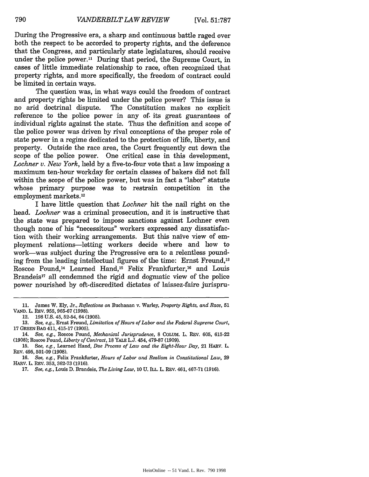During the Progressive era, a sharp and continuous battle raged over both the respect to be accorded to property rights, and the deference that the Congress, and particularly state legislatures, should receive under the police power." During that period, the Supreme Court, in cases of little immediate relationship to race, often recognized that property rights, and more specifically, the freedom of contract could be limited in certain ways.

The question was, in what ways could the freedom of contract and property rights be limited under the police power? This issue is no arid doctrinal dispute. The Constitution makes no explicit The Constitution makes no explicit reference to the police power in any of its great guarantees of individual rights against the state. Thus the definition and scope of the police power was driven by rival conceptions of the proper role of state power in a regime dedicated to the protection of life, liberty, and property. Outside the race area, the Court frequently cut down the scope of the police power. One critical case in this development, *Lochner v. New York,* held by a five-to-four vote that a law imposing a maximum ten-hour workday for certain classes of bakers did not fall within the scope of the police power, but was in fact a "labor" statute whose primary purpose was to restrain competition in the employment markets. <sup>12</sup>

I have little question that *Lochner* hit the nail right on the head. *Lochner* was a criminal prosecution, and it is instructive that the state was prepared to impose sanctions against Lochner even though none of his "necessitous" workers expressed any dissatisfaction with their working arrangements. But this naïve view of employment relations-letting workers decide where and how to work-was subject during the Progressive era to a relentless pounding from the leading intellectual figures of the time: Ernst Freund,<sup>13</sup> Roscoe Pound,<sup>14</sup> Learned Hand,<sup>15</sup> Felix Frankfurter,<sup>16</sup> and Louis Brandeis<sup>17</sup> all condemned the rigid and dogmatic view of the police power nourished by oft-discredited dictates of laissez-faire jurispru-

16. *See, e.g.,* Felix Frankfurter, *Hours of Labor and Realism in Constitutional Law,* **29** HARv. L. REV. 353, 362-73 (1916).

<sup>11.</sup> James W. Ely, Jr., *Reflections on* Buchanan v. Warley, *Property Rights, and Race,* 51 **VAND.** L. REV. 955, 965-67 (1998).

<sup>12. 198</sup> U.S. 45, 52-54, 64(1905).

<sup>13.</sup> *See, e.g.,* Ernst Freund, *Limitation of Hours of Labor and the Federal Supreme Court,* **17** GREEN **BAG** 411, 415-17 **(1905).**

<sup>14.</sup> *See, e.g.,* Roscoe Pound, *Mechanical Jurisprudence,* **8** COLUM. L. REV. 605, 615-22 (1908); Roscoe Pound, *Liberty of Contract,* **18** YALE L.J. 454, 479-87 (1909).

**<sup>15.</sup>** *See, e.g.,* Learned Hand, *Due Process of Law and the Eight-Hour Day,* 21 HARV. L. REV. 495, 501-09 (1908).

**<sup>17.</sup>** *See, e.g.,* Louis D. Brandeis, *The Living Law, IOU.* ILL. L. REV. 461,467-71 (1916).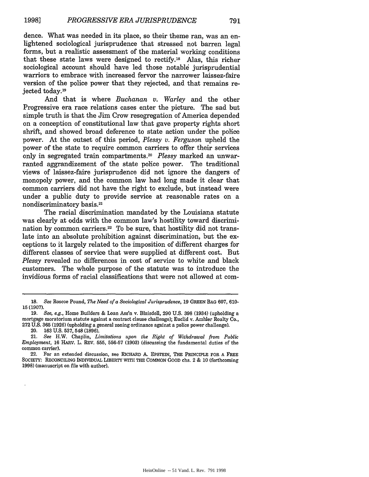dence. What was needed in its place, so their theme ran, was an enlightened sociological jurisprudence that stressed not barren legal forms, but a realistic assessment of the material working conditions that these state laws were designed to rectify.1s Alas, this richer sociological account should have led those notable jurisprudential warriors to embrace with increased fervor the narrower laissez-faire version of the police power that they rejected, and that remains rejected today.19

And that is where *Buchanan v. Warley* and the other Progressive era race relations cases enter the picture. The sad but simple truth is that the Jim Crow resegregation of America depended on a conception of constitutional law that gave property rights short shrift, and showed broad deference to state action under the police power. At the outset of this period, *Plessy v. Ferguson* upheld the power of the state to require common carriers to offer their services only in segregated train compartments.<sup>20</sup> Plessy marked an unwarranted aggrandizement of the state police power. The traditional views of laissez-faire jurisprudence did not ignore the dangers of monopoly power, and the common law had long made it clear that common carriers did not have the right to exclude, but instead were under a public duty to provide service at reasonable rates on a nondiscriminatory basis.21

The racial discrimination mandated by the Louisiana statute was clearly at odds with the common law's hostility toward discrimination by common carriers.<sup>22</sup> To be sure, that hostility did not translate into an absolute prohibition against discrimination, but the exceptions to it largely related to the imposition of different charges for different classes of service that were supplied at different cost. But *Plessy* revealed no differences in cost of service to white and black customers. The whole purpose of the statute was to introduce the invidious forms of racial classifications that were not allowed at com-

20. 163 U.S. 537,548 (1896).

<sup>18.</sup> *See* Roscoe Pound, *The Need of a Sociological Jurisprudence,* 19 GREEN **BAG** 607, 610- **15** (1907).

<sup>19.</sup> *See, e.g.,* Home Builders & Loan Ass'n v. Blaisdell, 290 U.S. 398 (1934) (upholding a mortgage moratorium statute against a contract clause challenge); Euclid v. Ambler Realty Co., 272 U.S. 365 (1926) (upholding a general zoning ordinance against a police power challenge).

<sup>21.</sup> *See* H.W. Chaplin, *Limitations upon the Right of Withdrawal from Public Employment,* 16 HARv. L. REV. 555, 556-57 (1903) (discussing the fundamental duties of the common carrier).

<sup>22.</sup> For an extended discussion, see RICHARD A. EPSTEIN, THE PRINCIPLE FOR A FREE SocIETY: RECONCILING INDIVIDuAL LIBERTY WITH THE COMMON GOOD chs. 2 & **10** (forthcoming 1998) (manuscript on file with author).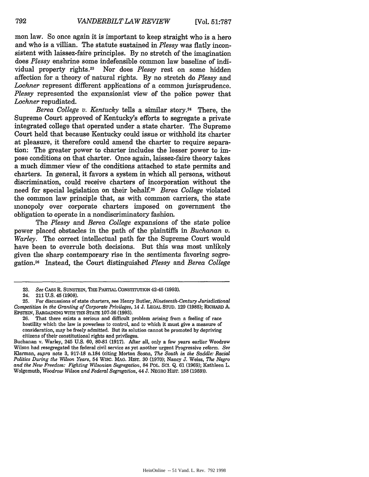mon law. So once again it is important to keep straight who is a hero and who is a villian. The statute sustained in *Plessy* was flatly inconsistent with laissez-faire principles. By no stretch of the imagination does *Plessy* enshrine some indefensible common law baseline of individual property rights.23 Nor does *Plessy* rest on some hidden affection for a theory of natural rights. By no stretch do *Plessy* and *Lochner* represent different applications of a common jurisprudence. *Plessy* represented the expansionist view of the police power that *Lochner* repudiated.

*Berea College v. Kentucky* tells a similar story.<sup>24</sup> There, the Supreme Court approved of Kentucky's efforts to segregate a private integrated college that operated under a state charter. The Supreme Court held that because Kentucky could issue or withhold its charter at pleasure, it therefore could amend the charter to require separation: The greater power to charter includes the lesser power to impose conditions on that charter. Once again, laissez-faire theory takes a much dimmer view of the conditions attached to state permits and charters. In general, it favors a system in which all persons, without discrimination, could receive charters of incorporation without the need for special legislation on their behalf.2s *Berea College* violated the common law principle that, as with common carriers, the state monopoly over corporate charters imposed on government the obligation to operate in a nondiscriminatory fashion.

*The Plessy and Berea College* expansions of the state police power placed obstacles in the path of the plaintiffs in *Buchanan v. Warley.* The correct intellectual path for the Supreme Court would have been to overrule both decisions. But this was most unlikely given the sharp contemporary rise in the sentiments favoring segregation.26 Instead, the Court distinguished *Plessy and Berea College*

**<sup>23.</sup>** *See* CASS R. SUNsTEIN, THE PARTIAL CONSTITUTION 42-45 **(1993).**

<sup>24. 211</sup> U.S. 45 **(1908).**

**<sup>25.</sup>** For discussions of state charters, see Henry Butler, *Nineteenth-Century Jurisdictional Competition in the Granting of Corporate Privileges,* 14 **J.** LEGAL STUD. **129 (1985);** RICHARD A. EPSTEIN, BARGAINING WITH THE STATE 107-26 (1993).

<sup>26.</sup> That there exists a serious and difficult problem arising from a feeling of race hostility which the law is powerless to control, and to which it must give a measure of consideration, may be freely admitted. But its solution cannot be promoted by depriving citizens of their constitutional rights and privileges.

Buchanan v. Warley, 245 U.S. 60, **80-81** (1917). After all, only a few years earlier Woodrow Wilson had resegregated the federal civil service as yet another urgent Progressive reform. *See* Klarman, *supra* note 3, 917-18 n.184 (citing Morton Sosna, *The South in the Saddle: Racial Politics During the Wilson Years,* 54 WISC. MAG. HIST. 30 (1970); Nancy J. Weiss, *The Negro and the New Freedom: Fighting Wilsonian Segregation,* 84 POL. **SCI.** Q. **61** (1969); Kathleen L. Wolgemuth, *Woodrow Wilson and Federal Segregation,* 44 J. NEGRO HIST. 158 (1959)).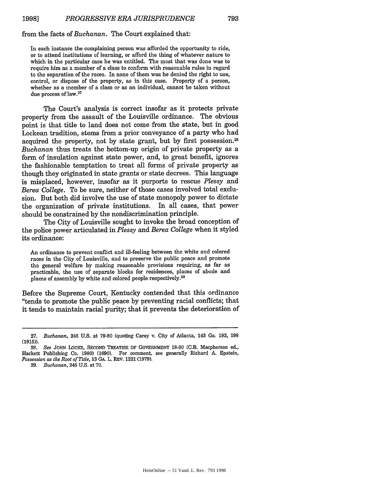### from the facts of *Buchanan.* The Court explained that:

In each instance the complaining person was afforded the opportunity to ride, or to attend institutions of learning, or afford the thing of whatever nature to which in the particular case he was entitled. The most that was done was to require him as a member of a class to conform with reasonable rules in regard to the separation of the races. In none of them was he denied the right to use, control, or dispose of the property, as in this case. Property of a person, whether as a member of a class or as an individual, cannot be taken without due process of law.<sup>27</sup>

The Court's analysis is correct insofar as it protects private property from the assault of the Louisville ordinance. The obvious point is that title to land does not come from the state, but in good Lockean tradition, stems from a prior conveyance of a party who had acquired the property, not by state grant, but by first possession.<sup>28</sup> *Buchanan* thus treats the bottom-up origin of private property as a form of insulation against state power, and, to great benefit, ignores the fashionable temptation to treat all forms of private property as though they originated in state grants or state decrees. This language is misplaced, however, insofar as it purports to rescue *Plessy* and *Berea College.* To be sure, neither of those cases involved total exclusion. But both did involve the use of state monopoly power to dictate the organization of private institutions. In all cases, that power should be constrained by the nondiscrimination principle.

The City of Louisville sought to invoke the broad conception of the police power articulated in *Plessy and Berea College* when it styled its ordinance:

An ordinance to prevent conflict and ill-feeling between the white and colored races in the City of Louisville, and to preserve the public peace and promote the general welfare by making reasonable provisions requiring, as far as practicable, the use of separate blocks for residences, places of abode and places of assembly by white and colored people respectively.<sup>29</sup>

Before the Supreme Court, Kentucky contended that this ordinance "tends to promote the public peace by preventing racial conflicts; that it tends to maintain racial purity; that it prevents the deterioration of

29. *Buchanan,* 245 U.S. at 70.

<sup>27.</sup> *Buchanan,* 245 U.S. at 79-80 (quoting Carey v. City of Atlanta, 143 Ga. 192, 198 **(1915)).**

**<sup>28.</sup>** *See* JOHN LOCKE, SECOND TREATISE OF GOVERNMENT **18-30** (C.B. Macpherson ed., Hackett Publishing Co. 1980) (1690). For comment, see generally Richard A. Epstein, *Possession as the Root of Title,* **13 GA.** L. REV. 1221 (1979).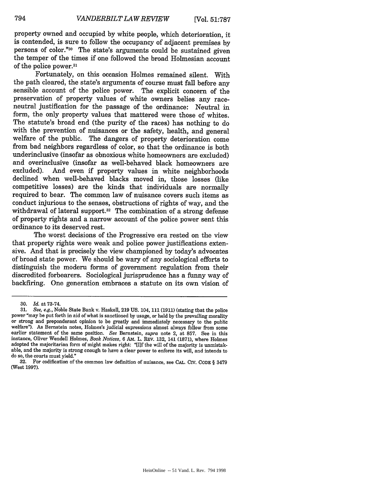property owned and occupied by white people, which deterioration, it is contended, is sure to follow the occupancy of adjacent premises by persons of color."<sup>30</sup> The state's arguments could be sustained given the temper of the times if one followed the broad Holmesian account of the police power.<sup>31</sup>

Fortunately, on this occasion Holmes remained silent. With the path cleared, the state's arguments of course must fall before any sensible account of the police power. The explicit concern of the preservation of property values of white owners belies any raceneutral justification for the passage of the ordinance: Neutral in form, the only property values that mattered were those of whites. The statute's broad end (the purity of the races) has nothing to do with the prevention of nuisances or the safety, health, and general welfare of the public. The dangers of property deterioration come from bad neighbors regardless of color, so that the ordinance is both underinclusive (insofar as obnoxious white homeowners are excluded) and overinclusive (insofar as well-behaved black homeowners are And even if property values in white neighborhoods declined when well-behaved blacks moved in, those losses (like competitive losses) are the kinds that individuals are normally required to bear. The common law of nuisance covers such items as conduct injurious to the senses, obstructions of rights of way, and the withdrawal of lateral support.<sup>32</sup> The combination of a strong defense of property rights and a narrow account of the police power sent this ordinance to its deserved rest.

The worst decisions of the Progressive era rested on the view that property rights were weak and police power justifications extensive. And that is precisely the view championed by today's advocates of broad state power. We should be wary of any sociological efforts to distinguish the modern forms of government regulation from their discredited forbearers. Sociological jurisprudence has a funny way of backfiring. One generation embraces a statute on its own vision of

<sup>30.</sup> *Id.* at 73-74.

<sup>31.</sup> *See, e.g.,* Noble State Bank v. Haskell, 219 US. 104, 111 (1911) (stating that the police power "may be put forth in aid of what is sanctioned by usage, or held by the prevailing morality or strong and preponderant opinion to be greatly and immediately necessary to the public welfare"). As Bernstein notes, Holmes's judicial expressions almost always follow from some earlier statement of the same position. *See* Bernstein, *supra* note 2, at 857. See in this instance, Oliver Wendell Holmes, *Book Notices,* 6 AM. L. REV. 132, 141 (1871), where Holmes adopted the majoritarian form of might makes right: "[I]f the will of the majority is unmistakable, and the majority is strong enough to have a clear power to enforce its will, and intends to do so, the courts must yield."

<sup>32.</sup> For codification of the common law definition of nuisance, see CAL. CIV. CODE § 3479 (West 1997).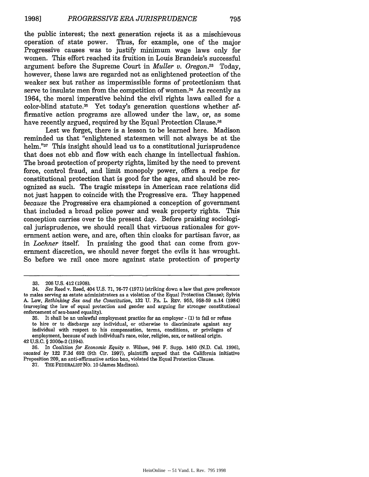the public interest; the next generation rejects it as a mischievous operation of state power. Thus, for example, one of the major Progressive causes was to justify minimum wage laws only for women. This effort reached its fruition in Louis Brandeis's successful argument before the Supreme Court in *Muller v. Oregon33* Today, however, these laws are regarded not as enlightened protection of the weaker sex but rather as impermissible forms of protectionism that serve to insulate men from the competition of women.<sup>34</sup> As recently as 1964, the moral imperative behind the civil rights laws called for a color-blind statute.35 Yet today's generation questions whether affirmative action programs are allowed under the law, or, as some have recently argued, required by the Equal Protection Clause.<sup>36</sup>

Lest we forget, there is a lesson to be learned here. Madison reminded us that "enlightened statesmen will not always be at the helm."<sup>37</sup> This insight should lead us to a constitutional jurisprudence that does not ebb and flow with each change in intellectual fashion. The broad protection of property rights, limited by the need to prevent force, control fraud, and limit monopoly power, offers a recipe for constitutional protection that is good for the ages, and should be recognized as such. The tragic missteps in American race relations did not just happen to coincide with the Progressive era. They happened *because* the Progressive era championed a conception of government that included a broad police power and weak property rights. This conception carries over to the present day. Before praising sociological jurisprudence, we should recall that virtuous rationales for government action were, and are, often thin cloaks for partisan favor, as in *Lochner* itself. In praising the good that can come from government discretion, we should never forget the evils it has wrought. So before we rail once more against state protection of property

<sup>33. 208</sup> U.S. 412 (1908).

<sup>34.</sup> *See* Reed v. Reed, 404 U.S. 71, 76-77 (1971) (striking down a law that gave preference to males serving as estate administrators as a violation of the Equal Protection Clause); Sylvia A. Law, *Rethinking Sex and the Constitution,* 132 U. PA. L. REV. 955, 958-59 n.14 (1984) (surveying the law of equal protection and gender and arguing for stronger constitutional enforcement of sex-based equality).

<sup>35.</sup> It shall be an unlawful employment practice for an employer - (1) to fail or refuse to hire or to discharge any individual, or otherwise to discriminate against any individual with respect to his compensation, terms, conditions, or privileges of employment, because of such individual's race, color, religion, sex, or national origin. 42 U.S.C. § 2000e-2 (1994).

<sup>36.</sup> In *Coalition for Economic Equity v. Wilson,* 946 F. Supp. 1480 (N.D. Cal. 1996), *vacated by* 122 F.3d 692 (9th Cir. 1997), plaintiffs argued that the California initiative Proposition 209, an anti-affirmative action ban, violated the Equal Protection Clause.

**<sup>37.</sup> THE** FEDERALIST **No. 10** (James Madison).